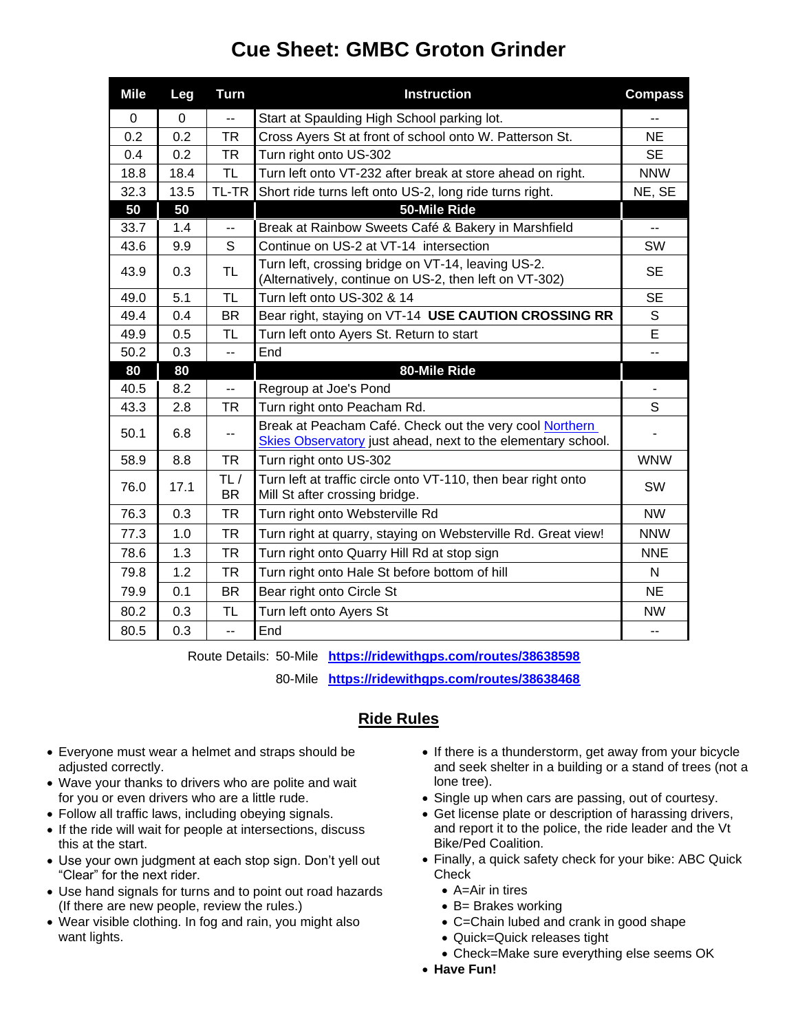## **Cue Sheet: GMBC Groton Grinder**

| <b>Mile</b> | Leg      | <b>Turn</b>              | <b>Instruction</b>                                                                                                      | <b>Compass</b> |
|-------------|----------|--------------------------|-------------------------------------------------------------------------------------------------------------------------|----------------|
| 0           | $\Omega$ | $\overline{a}$           | Start at Spaulding High School parking lot.                                                                             |                |
| 0.2         | 0.2      | <b>TR</b>                | Cross Ayers St at front of school onto W. Patterson St.                                                                 | <b>NE</b>      |
| 0.4         | 0.2      | <b>TR</b>                | Turn right onto US-302                                                                                                  | <b>SE</b>      |
| 18.8        | 18.4     | TL                       | Turn left onto VT-232 after break at store ahead on right.                                                              | <b>NNW</b>     |
| 32.3        | 13.5     | TL-TR                    | Short ride turns left onto US-2, long ride turns right.                                                                 | NE, SE         |
| 50          | 50       |                          | 50-Mile Ride                                                                                                            |                |
| 33.7        | 1.4      | $\overline{\phantom{a}}$ | Break at Rainbow Sweets Café & Bakery in Marshfield                                                                     | --             |
| 43.6        | 9.9      | S                        | Continue on US-2 at VT-14 intersection                                                                                  | SW             |
| 43.9        | 0.3      | <b>TL</b>                | Turn left, crossing bridge on VT-14, leaving US-2.<br>(Alternatively, continue on US-2, then left on VT-302)            | <b>SE</b>      |
| 49.0        | 5.1      | <b>TL</b>                | Turn left onto US-302 & 14                                                                                              | <b>SE</b>      |
| 49.4        | 0.4      | <b>BR</b>                | Bear right, staying on VT-14 USE CAUTION CROSSING RR                                                                    | S              |
| 49.9        | 0.5      | <b>TL</b>                | Turn left onto Ayers St. Return to start                                                                                | E              |
| 50.2        | 0.3      | $\overline{a}$           | End                                                                                                                     | --             |
| 80          | 80       |                          | 80-Mile Ride                                                                                                            |                |
| 40.5        | 8.2      | Ξ.                       | Regroup at Joe's Pond                                                                                                   |                |
| 43.3        | 2.8      | <b>TR</b>                | Turn right onto Peacham Rd.                                                                                             | S              |
| 50.1        | 6.8      |                          | Break at Peacham Café. Check out the very cool Northern<br>Skies Observatory just ahead, next to the elementary school. |                |
| 58.9        | 8.8      | <b>TR</b>                | Turn right onto US-302                                                                                                  | <b>WNW</b>     |
| 76.0        | 17.1     | TL/<br><b>BR</b>         | Turn left at traffic circle onto VT-110, then bear right onto<br>Mill St after crossing bridge.                         | SW             |
| 76.3        | 0.3      | TR                       | Turn right onto Websterville Rd                                                                                         | <b>NW</b>      |
| 77.3        | 1.0      | <b>TR</b>                | Turn right at quarry, staying on Websterville Rd. Great view!                                                           | <b>NNW</b>     |
| 78.6        | 1.3      | TR                       | Turn right onto Quarry Hill Rd at stop sign                                                                             | <b>NNE</b>     |
| 79.8        | 1.2      | <b>TR</b>                | Turn right onto Hale St before bottom of hill                                                                           | N              |
| 79.9        | 0.1      | <b>BR</b>                | Bear right onto Circle St                                                                                               | <b>NE</b>      |
| 80.2        | 0.3      | <b>TL</b>                | Turn left onto Ayers St                                                                                                 | <b>NW</b>      |
| 80.5        | 0.3      | $\overline{a}$           | End                                                                                                                     | --             |

Route Details: 50-Mile **<https://ridewithgps.com/routes/38638598>**

80-Mile **<https://ridewithgps.com/routes/38638468>**

## **Ride Rules**

- Everyone must wear a helmet and straps should be adjusted correctly.
- Wave your thanks to drivers who are polite and wait for you or even drivers who are a little rude.
- Follow all traffic laws, including obeying signals.
- If the ride will wait for people at intersections, discuss this at the start.
- Use your own judgment at each stop sign. Don't yell out "Clear" for the next rider.
- Use hand signals for turns and to point out road hazards (If there are new people, review the rules.)
- Wear visible clothing. In fog and rain, you might also want lights.
- If there is a thunderstorm, get away from your bicycle and seek shelter in a building or a stand of trees (not a lone tree).
- Single up when cars are passing, out of courtesy.
- Get license plate or description of harassing drivers, and report it to the police, the ride leader and the Vt Bike/Ped Coalition.
- Finally, a quick safety check for your bike: ABC Quick **Check** 
	- A=Air in tires
	- B= Brakes working
	- C=Chain lubed and crank in good shape
	- Quick=Quick releases tight
	- Check=Make sure everything else seems OK
- **Have Fun!**